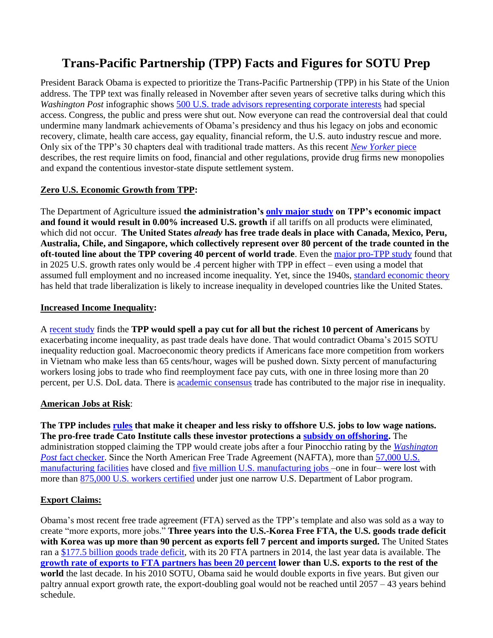# **Trans-Pacific Partnership (TPP) Facts and Figures for SOTU Prep**

President Barack Obama is expected to prioritize the Trans-Pacific Partnership (TPP) in his State of the Union address. The TPP text was finally released in November after seven years of secretive talks during which this *Washington Post* infographic shows [500 U.S. trade advisors representing corporate interests](https://www.washingtonpost.com/business/economy/trade-deals-a-closely-held-secret-shared-by-more-than-500-advisers/2014/02/28/7daa65ec-9d99-11e3-a050-dc3322a94fa7_story.html) had special access. Congress, the public and press were shut out. Now everyone can read the controversial deal that could undermine many landmark achievements of Obama's presidency and thus his legacy on jobs and economic recovery, climate, health care access, gay equality, financial reform, the U.S. auto industry rescue and more. Only six of the TPP's 30 chapters deal with traditional trade matters. As this recent *[New Yorker](http://www.newyorker.com/news/daily-comment/the-corporate-friendly-world-of-the-t-p-p?mbid=rss)* piece describes, the rest require limits on food, financial and other regulations, provide drug firms new monopolies and expand the contentious investor-state dispute settlement system.

#### **Zero U.S. Economic Growth from TPP:**

The Department of Agriculture issued **the administration's [only major study](http://www.ers.usda.gov/media/1692509/err176.pdf) on TPP's economic impact and found it would result in 0.00% increased U.S. growth** if all tariffs on all products were eliminated, which did not occur. **The United States** *already* **has free trade deals in place with Canada, Mexico, Peru, Australia, Chile, and Singapore, which collectively represent over 80 percent of the trade counted in the oft-touted line about the TPP covering 40 percent of world trade**. Even the [major pro-TPP study](http://www.iie.com/publications/pb/pb12-16.pdf) found that in 2025 U.S. growth rates only would be .4 percent higher with TPP in effect – even using a model that assumed full employment and no increased income inequality. Yet, since the 1940s, [standard economic theory](http://people.brandeis.edu/~rmccullo/wp/Stolper-Samuelson0405.pdf) has held that trade liberalization is likely to increase inequality in developed countries like the United States.

#### **Increased Income Inequality:**

A [recent study](http://cepr.net/publications/reports/net-effect-of-the-tpp-on-us-wages) finds the **TPP would spell a pay cut for all but the richest 10 percent of Americans** by exacerbating income inequality, as past trade deals have done. That would contradict Obama's 2015 SOTU inequality reduction goal. Macroeconomic theory predicts if Americans face more competition from workers in Vietnam who make less than 65 cents/hour, wages will be pushed down. Sixty percent of manufacturing workers losing jobs to trade who find reemployment face pay cuts, with one in three losing more than 20 percent, per U.S. DoL data. There is [academic consensus](http://www.citizen.org/documents/trade-and-income-inequality.pdf) trade has contributed to the major rise in inequality.

#### **American Jobs at Risk**:

**The TPP includes [rules](https://ustr.gov/sites/default/files/TPP-Final-Text-Investment.pdf) that make it cheaper and less risky to offshore U.S. jobs to low wage nations. The pro-free trade Cato Institute calls these investor protections a [subsidy on offshoring.](http://www.cato.org/publications/free-trade-bulletin/compromise-advance-trade-agenda-purge-negotiations-investor-state)** The administration stopped claiming the TPP would create jobs after a four Pinocchio rating by the *[Washington](https://www.washingtonpost.com/news/fact-checker/wp/2015/01/30/the-obama-administrations-illusionary-job-gains-from-the-trans-pacific-partnership/)  Post* [fact checker.](https://www.washingtonpost.com/news/fact-checker/wp/2015/01/30/the-obama-administrations-illusionary-job-gains-from-the-trans-pacific-partnership/) Since the North American Free Trade Agreement (NAFTA), more than 57,000 U.S. [manufacturing facilities](http://www.bls.gov/cew/datatoc.htm) have closed and five [million U.S. manufacturing jobs](http://www.bls.gov/ces/) –one in four– were lost with more than [875,000 U.S. workers certified](http://www.citizen.org/taadatabase) under just one narrow U.S. Department of Labor program.

## **Export Claims:**

Obama's most recent free trade agreement (FTA) served as the TPP's template and also was sold as a way to create "more exports, more jobs." **Three years into the U.S.-Korea Free FTA, the U.S. goods trade deficit with Korea was up more than 90 percent as exports fell 7 percent and imports surged.** The United States ran a [\\$177.5 billion goods trade deficit,](http://www.citizen.org/documents/FTA-V-No-FTA-Factsheet.pdf) with its 20 FTA partners in 2014, the last year data is available. The **[growth rate of exports to FTA partners has been 20 percent](http://citizen.typepad.com/eyesontrade/2015/02/exports-lag-20-trade-deficits-surge-427-under-free-trade-deals.html) lower than U.S. exports to the rest of the world** the last decade. In his 2010 SOTU, Obama said he would double exports in five years. But given our paltry annual export growth rate, the export-doubling goal would not be reached until 2057 – 43 years behind schedule.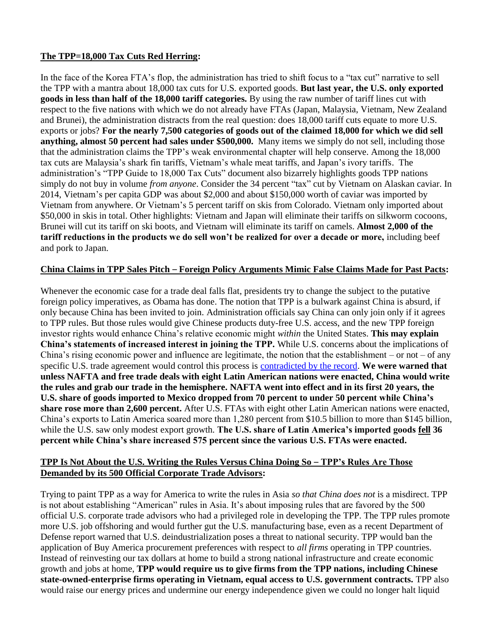## **The TPP=18,000 Tax Cuts Red Herring:**

In the face of the Korea FTA's flop, the administration has tried to shift focus to a "tax cut" narrative to sell the TPP with a mantra about 18,000 tax cuts for U.S. exported goods. **But last year, the U.S. only exported goods in less than half of the 18,000 tariff categories.** By using the raw number of tariff lines cut with respect to the five nations with which we do not already have FTAs (Japan, Malaysia, Vietnam, New Zealand and Brunei), the administration distracts from the real question: does 18,000 tariff cuts equate to more U.S. exports or jobs? **For the nearly 7,500 categories of goods out of the claimed 18,000 for which we did sell anything, almost 50 percent had sales under \$500,000.** Many items we simply do not sell, including those that the administration claims the TPP's weak environmental chapter will help conserve. Among the 18,000 tax cuts are Malaysia's shark fin tariffs, Vietnam's whale meat tariffs, and Japan's ivory tariffs. The administration's "TPP Guide to 18,000 Tax Cuts" document also bizarrely highlights goods TPP nations simply do not buy in volume *from anyone*. Consider the 34 percent "tax" cut by Vietnam on Alaskan caviar. In 2014, Vietnam's per capita GDP was about \$2,000 and about \$150,000 worth of caviar was imported by Vietnam from anywhere. Or Vietnam's 5 percent tariff on skis from Colorado. Vietnam only imported about \$50,000 in skis in total. Other highlights: Vietnam and Japan will eliminate their tariffs on silkworm cocoons, Brunei will cut its tariff on ski boots, and Vietnam will eliminate its tariff on camels. **Almost 2,000 of the tariff reductions in the products we do sell won't be realized for over a decade or more,** including beef and pork to Japan.

#### **China Claims in TPP Sales Pitch** – **Foreign Policy Arguments Mimic False Claims Made for Past Pacts:**

Whenever the economic case for a trade deal falls flat, presidents try to change the subject to the putative foreign policy imperatives, as Obama has done. The notion that TPP is a bulwark against China is absurd, if only because China has been invited to join. Administration officials say China can only join only if it agrees to TPP rules. But those rules would give Chinese products duty-free U.S. access, and the new TPP foreign investor rights would enhance China's relative economic might *within* the United States. **This may explain China's statements of increased interest in joining the TPP.** While U.S. concerns about the implications of China's rising economic power and influence are legitimate, the notion that the establishment – or not – of any specific U.S. trade agreement would control this process is [contradicted by the record.](http://www.citizen.org/documents/tpp-foreign-policy-report-release-2014.pdf) **We were warned that unless NAFTA and free trade deals with eight Latin American nations were enacted, China would write the rules and grab our trade in the hemisphere. NAFTA went into effect and in its first 20 years, the U.S. share of goods imported to Mexico dropped from 70 percent to under 50 percent while China's share rose more than 2,600 percent.** After U.S. FTAs with eight other Latin American nations were enacted, China's exports to Latin America soared more than 1,280 percent from \$10.5 billion to more than \$145 billion, while the U.S. saw only modest export growth. **The U.S. share of Latin America's imported goods fell 36 percent while China's share increased 575 percent since the various U.S. FTAs were enacted.**

#### **TPP Is Not About the U.S. Writing the Rules Versus China Doing So** – **TPP's Rules Are Those Demanded by its 500 Official Corporate Trade Advisors:**

Trying to paint TPP as a way for America to write the rules in Asia *so that China does not* is a misdirect. TPP is not about establishing "American" rules in Asia. It's about imposing rules that are favored by the 500 official U.S. corporate trade advisors who had a privileged role in developing the TPP. The TPP rules promote more U.S. job offshoring and would further gut the U.S. manufacturing base, even as a recent Department of Defense report warned that U.S. deindustrialization poses a threat to national security. TPP would ban the application of Buy America procurement preferences with respect to *all firms* operating in TPP countries. Instead of reinvesting our tax dollars at home to build a strong national infrastructure and create economic growth and jobs at home, **TPP would require us to give firms from the TPP nations, including Chinese state-owned-enterprise firms operating in Vietnam, equal access to U.S. government contracts.** TPP also would raise our energy prices and undermine our energy independence given we could no longer halt liquid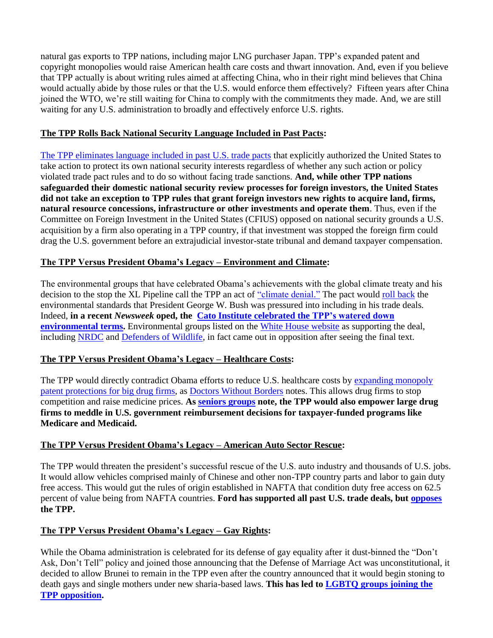natural gas exports to TPP nations, including major LNG purchaser Japan. TPP's expanded patent and copyright monopolies would raise American health care costs and thwart innovation. And, even if you believe that TPP actually is about writing rules aimed at affecting China, who in their right mind believes that China would actually abide by those rules or that the U.S. would enforce them effectively? Fifteen years after China joined the WTO, we're still waiting for China to comply with the commitments they made. And, we are still waiting for any U.S. administration to broadly and effectively enforce U.S. rights.

## **The TPP Rolls Back National Security Language Included in Past Pacts:**

[The TPP eliminates language included in past U.S. trade pacts](http://www.citizen.org/documents/TPP-National-Security-Factsheet-Jan-2016.pdf) that explicitly authorized the United States to take action to protect its own national security interests regardless of whether any such action or policy violated trade pact rules and to do so without facing trade sanctions. **And, while other TPP nations safeguarded their domestic national security review processes for foreign investors, the United States did not take an exception to TPP rules that grant foreign investors new rights to acquire land, firms, natural resource concessions, infrastructure or other investments and operate them**. Thus, even if the Committee on Foreign Investment in the United States (CFIUS) opposed on national security grounds a U.S. acquisition by a firm also operating in a TPP country, if that investment was stopped the foreign firm could drag the U.S. government before an extrajudicial investor-state tribunal and demand taxpayer compensation.

## **The TPP Versus President Obama's Legacy – Environment and Climate:**

The environmental groups that have celebrated Obama's achievements with the global climate treaty and his decision to the stop the XL Pipeline call the TPP an act of ["climate denial."](http://www.nationalobserver.com/2015/11/10/news/trans-pacific-partnership-deal-act-climate-denial) The pact would [roll back](https://www.sierraclub.org/sites/www.sierraclub.org/files/uploads-wysiwig/tpp-analysis-updated.pdf) the environmental standards that President George W. Bush was pressured into including in his trade deals. Indeed, **in a recent** *Newsweek* **oped, the [Cato Institute celebrated the TPP's watered down](http://www.newsweek.com/weighing-pacific-trade-deals-green-demands-411396)  [environmental terms.](http://www.newsweek.com/weighing-pacific-trade-deals-green-demands-411396)** Environmental groups listed on the [White House website](https://www.whitehouse.gov/issues/economy/trade) as supporting the deal, including [NRDC](http://www.nrdc.org/media/2015/151105.asp) and [Defenders of Wildlife,](https://www.defenders.org/press-release/trans-pacific-partnership-falls-short-wildlife) in fact came out in opposition after seeing the final text.

## **The TPP Versus President Obama's Legacy – Healthcare Costs:**

The TPP would directly contradict Obama efforts to reduce U.S. healthcare costs by [expanding monopoly](http://www.citizen.org/documents/TPP-IP-Factsheet-December-2015.pdf)  [patent protections for big drug](http://www.citizen.org/documents/TPP-IP-Factsheet-December-2015.pdf) firms, as [Doctors Without Borders](http://www.doctorswithoutborders.org/article/statement-msf-official-release-full-text-trans-pacific-partnership-trade-agreement) notes. This allows drug firms to stop competition and raise medicine prices. **As [seniors groups](http://webiva-downton.s3.amazonaws.com/402/d6/8/8786/TPP_Text_Release_Statement_110515.pdf) note, the TPP would also empower large drug firms to meddle in U.S. government reimbursement decisions for taxpayer-funded programs like Medicare and Medicaid.**

## **The TPP Versus President Obama's Legacy – American Auto Sector Rescue:**

The TPP would threaten the president's successful rescue of the U.S. auto industry and thousands of U.S. jobs. It would allow vehicles comprised mainly of Chinese and other non-TPP country parts and labor to gain duty free access. This would gut the rules of origin established in NAFTA that condition duty free access on 62.5 percent of value being from NAFTA countries. **Ford has supported all past U.S. trade deals, but [opposes](http://www.freep.com/story/news/2015/10/05/ford-others-say-trade-deal-lacks-currency-protections/73372996/) the TPP.** 

## **The TPP Versus President Obama's Legacy – Gay Rights:**

While the Obama administration is celebrated for its defense of gay equality after it dust-binned the "Don't Ask, Don't Tell" policy and joined those announcing that the Defense of Marriage Act was unconstitutional, it decided to allow Brunei to remain in the TPP even after the country announced that it would begin stoning to death gays and single mothers under new sharia-based laws. **This has led to [LGBTQ groups joining the](http://www.washingtonblade.com/2015/11/07/controversial-trade-deal-lacks-lgbt-specific-provisions/)  [TPP opposition.](http://www.washingtonblade.com/2015/11/07/controversial-trade-deal-lacks-lgbt-specific-provisions/)**